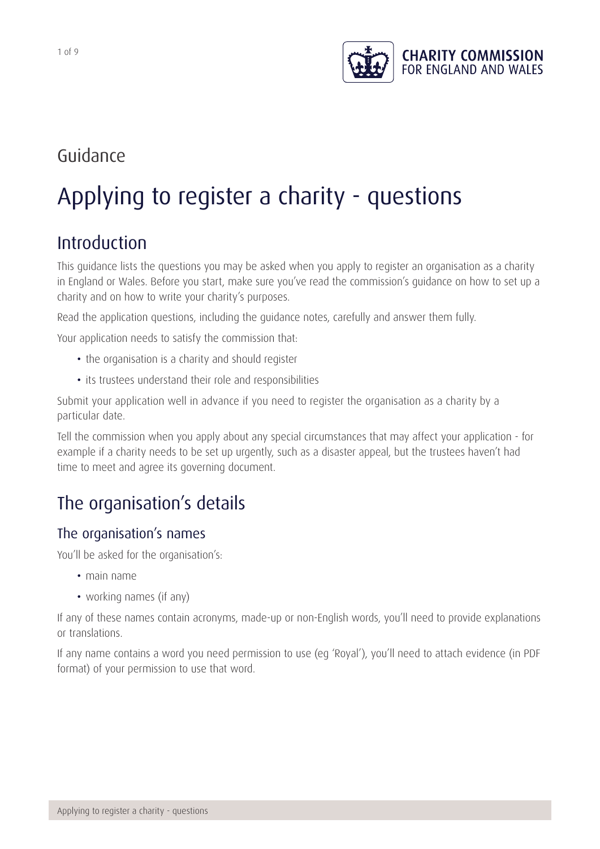

# Guidance

# Applying to register a charity - questions

# Introduction

This guidance lists the questions you may be asked when you apply to register an organisation as a charity in England or Wales. Before you start, make sure you've read the commission's guidance on how to set up a charity and on how to write your charity's purposes.

Read the application questions, including the guidance notes, carefully and answer them fully.

Your application needs to satisfy the commission that:

- the organisation is a charity and should register
- its trustees understand their role and responsibilities

Submit your application well in advance if you need to register the organisation as a charity by a particular date.

Tell the commission when you apply about any special circumstances that may affect your application - for example if a charity needs to be set up urgently, such as a disaster appeal, but the trustees haven't had time to meet and agree its governing document.

# The organisation's details

#### The organisation's names

You'll be asked for the organisation's:

- main name
- working names (if any)

If any of these names contain acronyms, made-up or non-English words, you'll need to provide explanations or translations.

If any name contains a word you need permission to use (eg 'Royal'), you'll need to attach evidence (in PDF format) of your permission to use that word.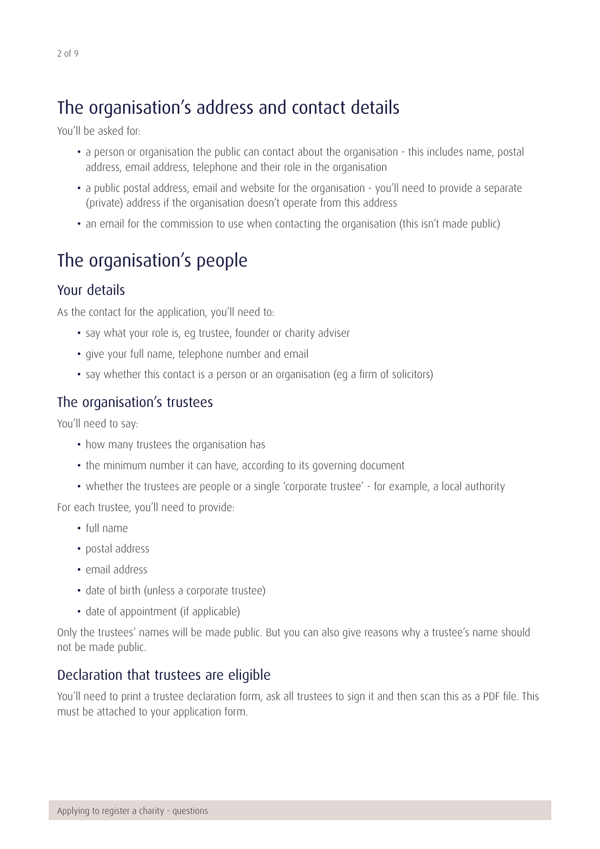# The organisation's address and contact details

You'll be asked for:

- a person or organisation the public can contact about the organisation this includes name, postal address, email address, telephone and their role in the organisation
- a public postal address, email and website for the organisation you'll need to provide a separate (private) address if the organisation doesn't operate from this address
- an email for the commission to use when contacting the organisation (this isn't made public)

# The organisation's people

### Your details

As the contact for the application, you'll need to:

- say what your role is, eg trustee, founder or charity adviser
- give your full name, telephone number and email
- say whether this contact is a person or an organisation (eg a firm of solicitors)

### The organisation's trustees

You'll need to say:

- how many trustees the organisation has
- the minimum number it can have, according to its governing document
- whether the trustees are people or a single 'corporate trustee' for example, a local authority

For each trustee, you'll need to provide:

- • full name
- postal address
- email address
- date of birth (unless a corporate trustee)
- date of appointment (if applicable)

Only the trustees' names will be made public. But you can also give reasons why a trustee's name should not be made public.

### Declaration that trustees are eligible

You'll need to print a trustee declaration form, ask all trustees to sign it and then scan this as a PDF file. This must be attached to your application form.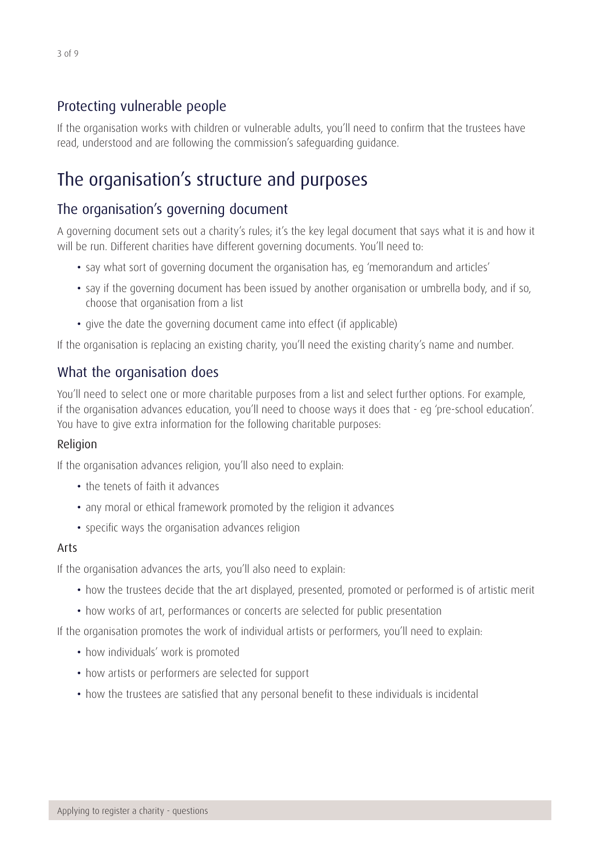# Protecting vulnerable people

If the organisation works with children or vulnerable adults, you'll need to confirm that the trustees have read, understood and are following the commission's safeguarding guidance.

# The organisation's structure and purposes

# The organisation's governing document

A governing document sets out a charity's rules; it's the key legal document that says what it is and how it will be run. Different charities have different governing documents. You'll need to:

- say what sort of governing document the organisation has, eg 'memorandum and articles'
- say if the governing document has been issued by another organisation or umbrella body, and if so, choose that organisation from a list
- give the date the governing document came into effect (if applicable)

If the organisation is replacing an existing charity, you'll need the existing charity's name and number.

# What the organisation does

You'll need to select one or more charitable purposes from a list and select further options. For example, if the organisation advances education, you'll need to choose ways it does that - eg 'pre-school education'. You have to give extra information for the following charitable purposes:

#### Religion

If the organisation advances religion, you'll also need to explain:

- the tenets of faith it advances
- any moral or ethical framework promoted by the religion it advances
- specific ways the organisation advances religion

#### Arts

If the organisation advances the arts, you'll also need to explain:

- how the trustees decide that the art displayed, presented, promoted or performed is of artistic merit
- how works of art, performances or concerts are selected for public presentation

If the organisation promotes the work of individual artists or performers, you'll need to explain:

- how individuals' work is promoted
- how artists or performers are selected for support
- how the trustees are satisfied that any personal benefit to these individuals is incidental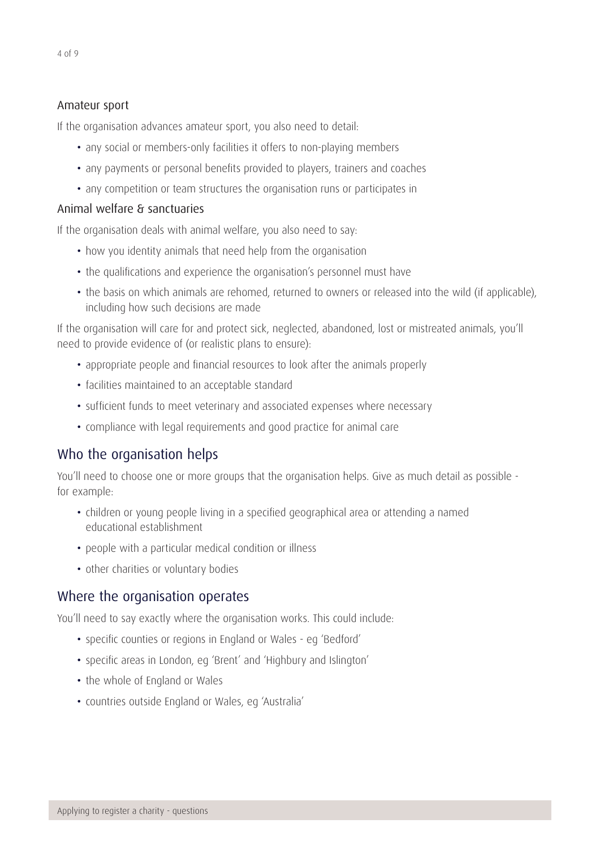#### Amateur sport

If the organisation advances amateur sport, you also need to detail:

- any social or members-only facilities it offers to non-playing members
- any payments or personal benefits provided to players, trainers and coaches
- any competition or team structures the organisation runs or participates in

#### Animal welfare & sanctuaries

If the organisation deals with animal welfare, you also need to say:

- how you identity animals that need help from the organisation
- the qualifications and experience the organisation's personnel must have
- the basis on which animals are rehomed, returned to owners or released into the wild (if applicable), including how such decisions are made

If the organisation will care for and protect sick, neglected, abandoned, lost or mistreated animals, you'll need to provide evidence of (or realistic plans to ensure):

- appropriate people and financial resources to look after the animals properly
- facilities maintained to an acceptable standard
- sufficient funds to meet veterinary and associated expenses where necessary
- compliance with legal requirements and good practice for animal care

### Who the organisation helps

You'll need to choose one or more groups that the organisation helps. Give as much detail as possible for example:

- children or young people living in a specified geographical area or attending a named educational establishment
- people with a particular medical condition or illness
- other charities or voluntary bodies

#### Where the organisation operates

You'll need to say exactly where the organisation works. This could include:

- specific counties or regions in England or Wales eg 'Bedford'
- specific areas in London, eg 'Brent' and 'Highbury and Islington'
- the whole of England or Wales
- countries outside England or Wales, eg 'Australia'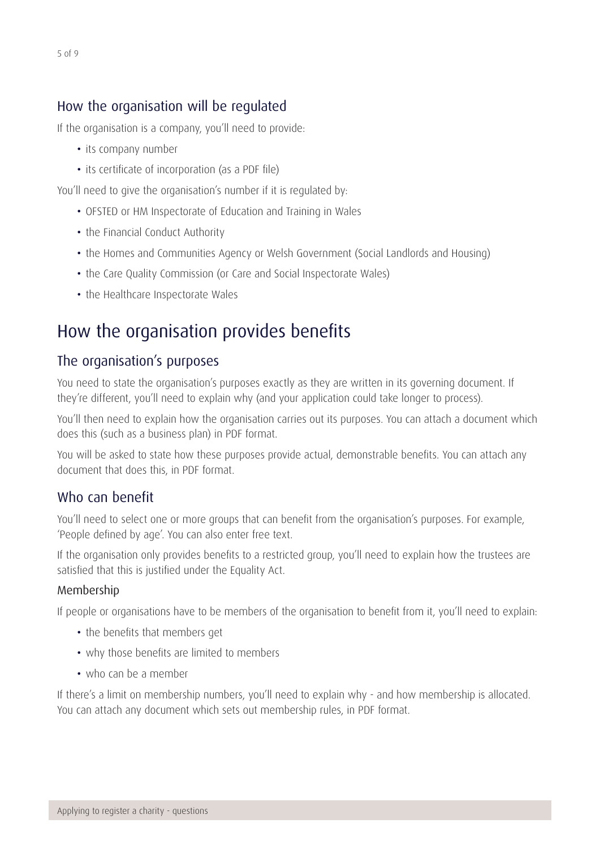#### How the organisation will be regulated

If the organisation is a company, you'll need to provide:

- its company number
- its certificate of incorporation (as a PDF file)

You'll need to give the organisation's number if it is regulated by:

- OFSTED or HM Inspectorate of Education and Training in Wales
- the Financial Conduct Authority
- the Homes and Communities Agency or Welsh Government (Social Landlords and Housing)
- the Care Quality Commission (or Care and Social Inspectorate Wales)
- the Healthcare Inspectorate Wales

# How the organisation provides benefits

#### The organisation's purposes

You need to state the organisation's purposes exactly as they are written in its governing document. If they're different, you'll need to explain why (and your application could take longer to process).

You'll then need to explain how the organisation carries out its purposes. You can attach a document which does this (such as a business plan) in PDF format.

You will be asked to state how these purposes provide actual, demonstrable benefits. You can attach any document that does this, in PDF format.

#### Who can benefit

You'll need to select one or more groups that can benefit from the organisation's purposes. For example, 'People defined by age'. You can also enter free text.

If the organisation only provides benefits to a restricted group, you'll need to explain how the trustees are satisfied that this is justified under the Equality Act.

#### Membership

If people or organisations have to be members of the organisation to benefit from it, you'll need to explain:

- the benefits that members get
- why those benefits are limited to members
- who can be a member

If there's a limit on membership numbers, you'll need to explain why - and how membership is allocated. You can attach any document which sets out membership rules, in PDF format.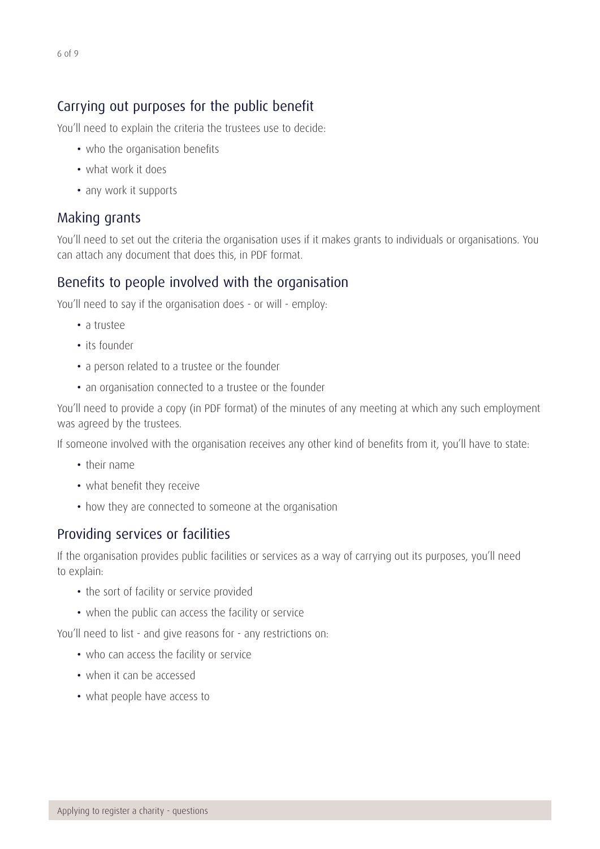## Carrying out purposes for the public benefit

You'll need to explain the criteria the trustees use to decide:

- who the organisation benefits
- what work it does
- any work it supports

#### Making grants

You'll need to set out the criteria the organisation uses if it makes grants to individuals or organisations. You can attach any document that does this, in PDF format.

#### Benefits to people involved with the organisation

You'll need to say if the organisation does - or will - employ:

- a trustee
- its founder
- a person related to a trustee or the founder
- an organisation connected to a trustee or the founder

You'll need to provide a copy (in PDF format) of the minutes of any meeting at which any such employment was agreed by the trustees.

If someone involved with the organisation receives any other kind of benefits from it, you'll have to state:

- their name
- • what benefit they receive
- how they are connected to someone at the organisation

#### Providing services or facilities

If the organisation provides public facilities or services as a way of carrying out its purposes, you'll need to explain:

- the sort of facility or service provided
- when the public can access the facility or service

You'll need to list - and give reasons for - any restrictions on:

- who can access the facility or service
- when it can be accessed
- what people have access to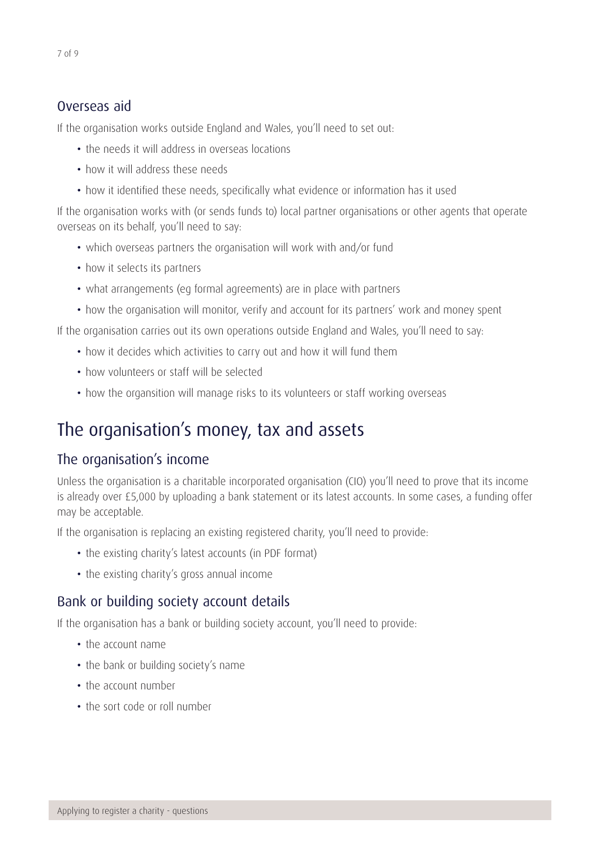#### Overseas aid

If the organisation works outside England and Wales, you'll need to set out:

- the needs it will address in overseas locations
- how it will address these needs
- how it identified these needs, specifically what evidence or information has it used

If the organisation works with (or sends funds to) local partner organisations or other agents that operate overseas on its behalf, you'll need to say:

- which overseas partners the organisation will work with and/or fund
- how it selects its partners
- what arrangements (eg formal agreements) are in place with partners
- how the organisation will monitor, verify and account for its partners' work and money spent

If the organisation carries out its own operations outside England and Wales, you'll need to say:

- how it decides which activities to carry out and how it will fund them
- how volunteers or staff will be selected
- how the organsition will manage risks to its volunteers or staff working overseas

# The organisation's money, tax and assets

### The organisation's income

Unless the organisation is a charitable incorporated organisation (CIO) you'll need to prove that its income is already over £5,000 by uploading a bank statement or its latest accounts. In some cases, a funding offer may be acceptable.

If the organisation is replacing an existing registered charity, you'll need to provide:

- the existing charity's latest accounts (in PDF format)
- the existing charity's gross annual income

# Bank or building society account details

If the organisation has a bank or building society account, you'll need to provide:

- the account name
- the bank or building society's name
- the account number
- the sort code or roll number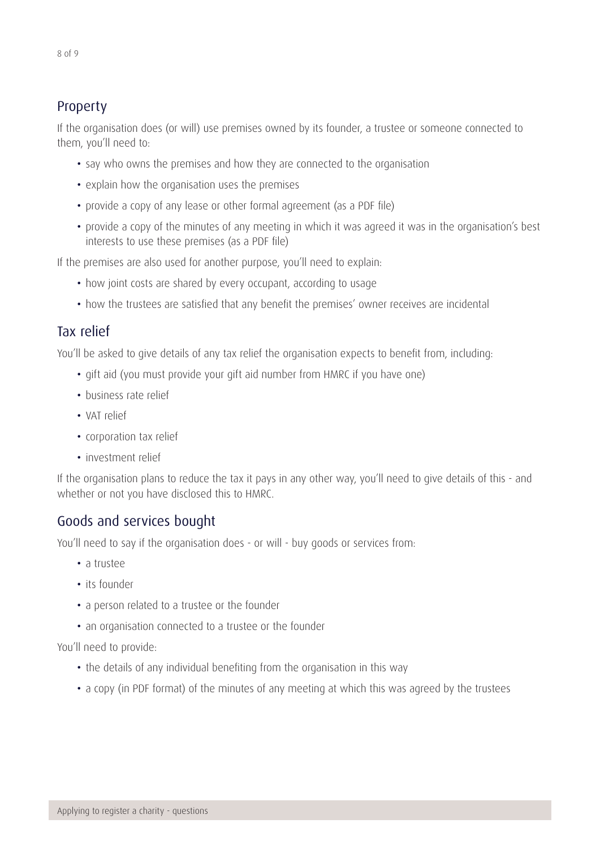If the organisation does (or will) use premises owned by its founder, a trustee or someone connected to them, you'll need to:

- say who owns the premises and how they are connected to the organisation
- explain how the organisation uses the premises
- provide a copy of any lease or other formal agreement (as a PDF file)
- provide a copy of the minutes of any meeting in which it was agreed it was in the organisation's best interests to use these premises (as a PDF file)

If the premises are also used for another purpose, you'll need to explain:

- how joint costs are shared by every occupant, according to usage
- how the trustees are satisfied that any benefit the premises' owner receives are incidental

### Tax relief

You'll be asked to give details of any tax relief the organisation expects to benefit from, including:

- gift aid (you must provide your gift aid number from HMRC if you have one)
- business rate relief
- VAT relief
- corporation tax relief
- investment relief

If the organisation plans to reduce the tax it pays in any other way, you'll need to give details of this - and whether or not you have disclosed this to HMRC.

### Goods and services bought

You'll need to say if the organisation does - or will - buy goods or services from:

- a trustee
- its founder
- a person related to a trustee or the founder
- an organisation connected to a trustee or the founder

You'll need to provide:

- the details of any individual benefiting from the organisation in this way
- a copy (in PDF format) of the minutes of any meeting at which this was agreed by the trustees